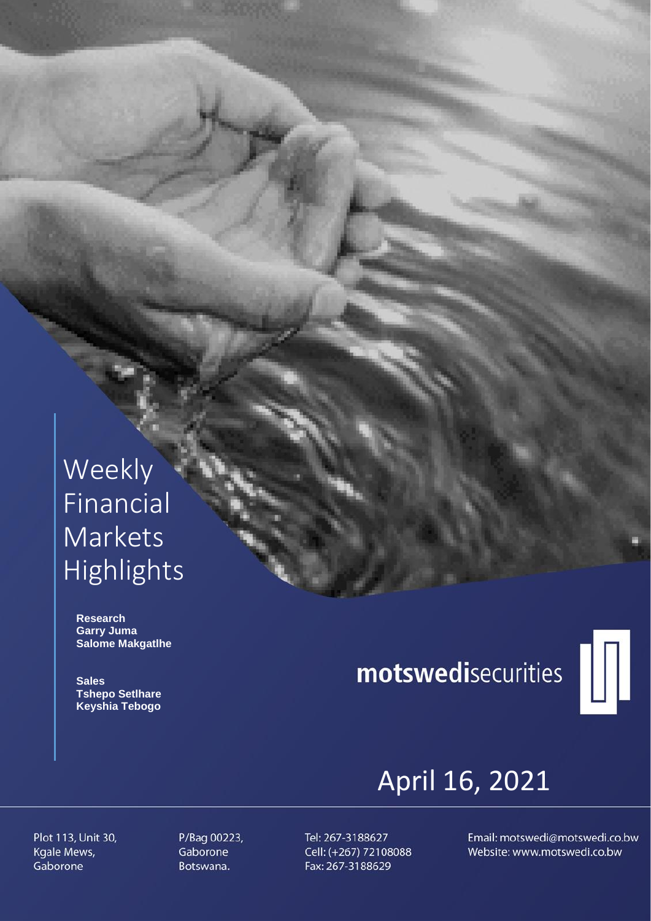## Weekly Financial Markets Highlights

 **Research Garry Juma Salome Makgatlhe**

 **Sales Tshepo Setlhare Keyshia Tebogo**

# motswedisecurities



## April 16, 2021

Plot 113, Unit 30, Kgale Mews, Gaborone

P/Bag 00223, Gaborone Botswana.

Tel: 267-3188627 Cell: (+267) 72108088 Fax: 267-3188629

Email: motswedi@motswedi.co.bw Website: www.motswedi.co.bw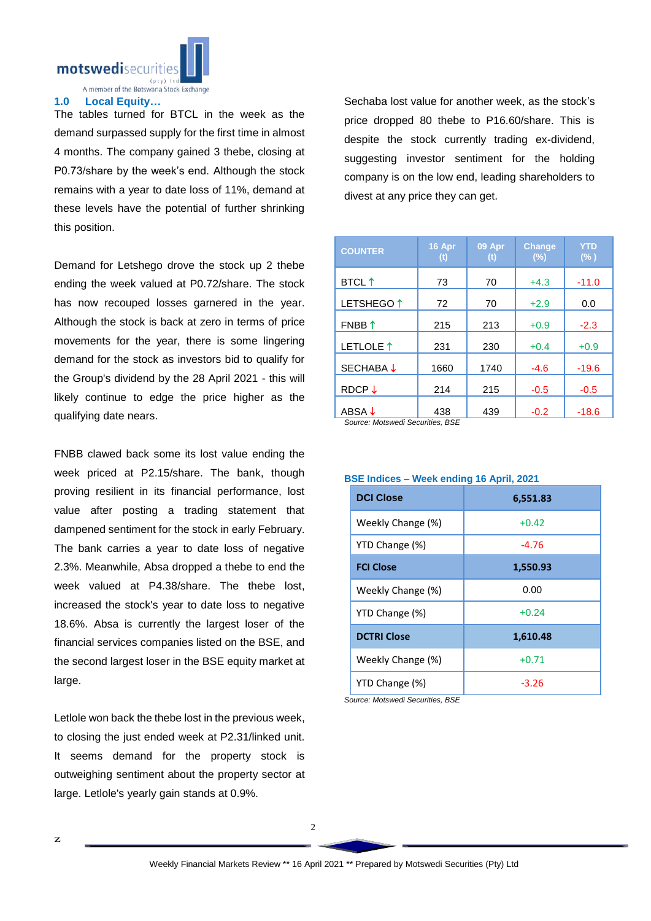

A member of the Botswana Stock Exchange

#### **1.0 Local Equity…**

The tables turned for BTCL in the week as the demand surpassed supply for the first time in almost 4 months. The company gained 3 thebe, closing at P0.73/share by the week's end. Although the stock remains with a year to date loss of 11%, demand at these levels have the potential of further shrinking this position.

Demand for Letshego drove the stock up 2 thebe ending the week valued at P0.72/share. The stock has now recouped losses garnered in the year. Although the stock is back at zero in terms of price movements for the year, there is some lingering demand for the stock as investors bid to qualify for the Group's dividend by the 28 April 2021 - this will likely continue to edge the price higher as the qualifying date nears.

FNBB clawed back some its lost value ending the week priced at P2.15/share. The bank, though proving resilient in its financial performance, lost value after posting a trading statement that dampened sentiment for the stock in early February. The bank carries a year to date loss of negative 2.3%. Meanwhile, Absa dropped a thebe to end the week valued at P4.38/share. The thebe lost, increased the stock's year to date loss to negative 18.6%. Absa is currently the largest loser of the financial services companies listed on the BSE, and the second largest loser in the BSE equity market at large.

Letlole won back the thebe lost in the previous week, to closing the just ended week at P2.31/linked unit. It seems demand for the property stock is outweighing sentiment about the property sector at large. Letlole's yearly gain stands at 0.9%.

Sechaba lost value for another week, as the stock's price dropped 80 thebe to P16.60/share. This is despite the stock currently trading ex-dividend, suggesting investor sentiment for the holding company is on the low end, leading shareholders to divest at any price they can get.

| <b>COUNTER</b>        | 16 Apr<br>(t) | 09 Apr<br>$(t)$ | <b>Change</b><br>(%) | <b>YTD</b><br>$(\% )$ |
|-----------------------|---------------|-----------------|----------------------|-----------------------|
| <b>BTCL</b> ↑         | 73            | 70              | $+4.3$               | $-11.0$               |
| LETSHEGO <sup>1</sup> | 72            | 70              | $+2.9$               | 0.0                   |
| FNBB 1                | 215           | 213             | $+0.9$               | $-2.3$                |
| LETLOLE <sup>1</sup>  | 231           | 230             | $+0.4$               | $+0.9$                |
| <b>SECHABA↓</b>       | 1660          | 1740            | $-4.6$               | $-19.6$               |
| RDCP $\downarrow$     | 214           | 215             | $-0.5$               | $-0.5$                |
| ABSA ↓                | 438           | 439             | $-0.2$               | $-18.6$               |

*Source: Motswedi Securities, BSE* 

| <b>BSE Indices - Week ending 16 April, 2021</b> |  |  |
|-------------------------------------------------|--|--|
|-------------------------------------------------|--|--|

| <b>DCI Close</b>   | 6,551.83 |  |  |
|--------------------|----------|--|--|
| Weekly Change (%)  | $+0.42$  |  |  |
| YTD Change (%)     | $-4.76$  |  |  |
| <b>FCI Close</b>   | 1,550.93 |  |  |
| Weekly Change (%)  | 0.00     |  |  |
| YTD Change (%)     | $+0.24$  |  |  |
| <b>DCTRI Close</b> | 1,610.48 |  |  |
| Weekly Change (%)  | $+0.71$  |  |  |
| YTD Change (%)     | $-3.26$  |  |  |

*Source: Motswedi Securities, BSE*

2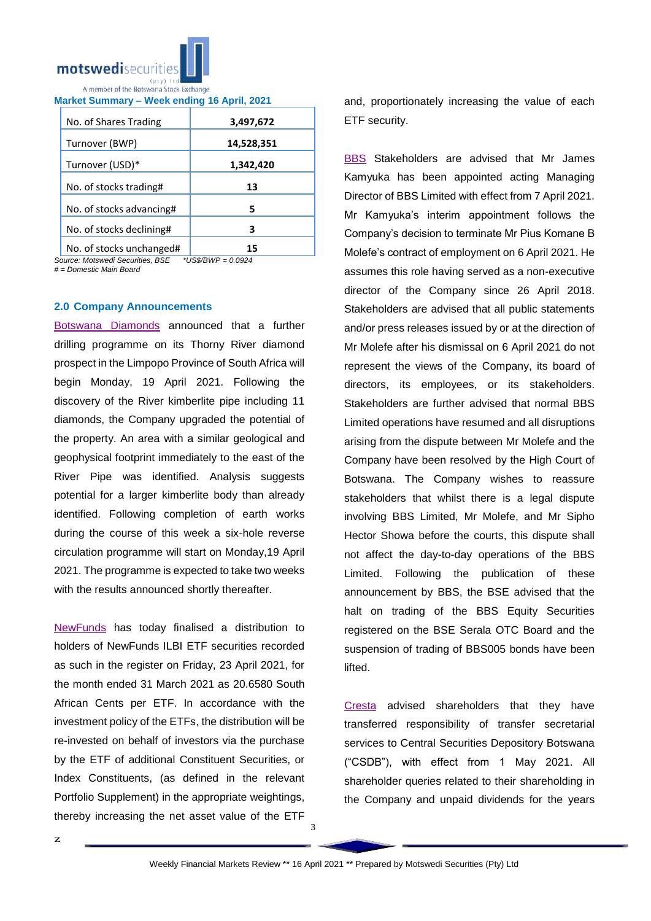

**Market Summary – Week ending 16 April, 2021**

| No. of Shares Trading    | 3,497,672  |  |
|--------------------------|------------|--|
| Turnover (BWP)           | 14,528,351 |  |
| Turnover (USD)*          | 1,342,420  |  |
| No. of stocks trading#   | 13         |  |
| No. of stocks advancing# | 5          |  |
| No. of stocks declining# | 3          |  |
| No of stocks unchanged#  |            |  |

No. of stocks unchanged# **15**  $Source: Motswedi$  Securities, BSE

*# = Domestic Main Board*

#### **2.0 Company Announcements**

[Botswana Diamonds](https://apis.bse.co.bw/storage/disclosures/04/2021/1923.pdf) announced that a further drilling programme on its Thorny River diamond prospect in the Limpopo Province of South Africa will begin Monday, 19 April 2021. Following the discovery of the River kimberlite pipe including 11 diamonds, the Company upgraded the potential of the property. An area with a similar geological and geophysical footprint immediately to the east of the River Pipe was identified. Analysis suggests potential for a larger kimberlite body than already identified. Following completion of earth works during the course of this week a six-hole reverse circulation programme will start on Monday,19 April 2021. The programme is expected to take two weeks with the results announced shortly thereafter.

[NewFunds](https://apis.bse.co.bw/storage/disclosures/04/2021/1925.pdf) has today finalised a distribution to holders of NewFunds ILBI ETF securities recorded as such in the register on Friday, 23 April 2021, for the month ended 31 March 2021 as 20.6580 South African Cents per ETF. In accordance with the investment policy of the ETFs, the distribution will be re-invested on behalf of investors via the purchase by the ETF of additional Constituent Securities, or Index Constituents, (as defined in the relevant Portfolio Supplement) in the appropriate weightings, thereby increasing the net asset value of the ETF

and, proportionately increasing the value of each ETF security.

[BBS](https://apis.bse.co.bw/storage/disclosures/04/2021/1927.pdf) Stakeholders are advised that Mr James Kamyuka has been appointed acting Managing Director of BBS Limited with effect from 7 April 2021. Mr Kamyuka's interim appointment follows the Company's decision to terminate Mr Pius Komane B Molefe's contract of employment on 6 April 2021. He assumes this role having served as a non-executive director of the Company since 26 April 2018. Stakeholders are advised that all public statements and/or press releases issued by or at the direction of Mr Molefe after his dismissal on 6 April 2021 do not represent the views of the Company, its board of directors, its employees, or its stakeholders. Stakeholders are further advised that normal BBS Limited operations have resumed and all disruptions arising from the dispute between Mr Molefe and the Company have been resolved by the High Court of Botswana. The Company wishes to reassure stakeholders that whilst there is a legal dispute involving BBS Limited, Mr Molefe, and Mr Sipho Hector Showa before the courts, this dispute shall not affect the day-to-day operations of the BBS Limited. Following the publication of these announcement by BBS, the BSE advised that the halt on trading of the BBS Equity Securities registered on the BSE Serala OTC Board and the suspension of trading of BBS005 bonds have been lifted.

[Cresta](https://apis.bse.co.bw/storage/disclosures/04/2021/1919.pdf) advised shareholders that they have transferred responsibility of transfer secretarial services to Central Securities Depository Botswana ("CSDB"), with effect from 1 May 2021. All shareholder queries related to their shareholding in the Company and unpaid dividends for the years

3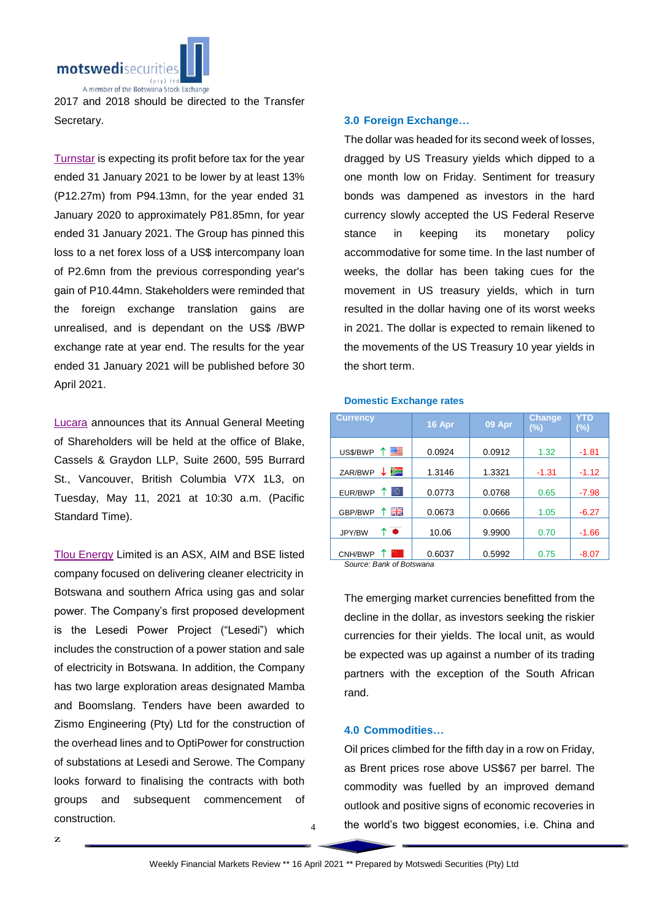

2017 and 2018 should be directed to the Transfer Secretary.

[Turnstar](https://apis.bse.co.bw/storage/disclosures/04/2021/1913.pdf) is expecting its profit before tax for the year ended 31 January 2021 to be lower by at least 13% (P12.27m) from P94.13mn, for the year ended 31 January 2020 to approximately P81.85mn, for year ended 31 January 2021. The Group has pinned this loss to a net forex loss of a US\$ intercompany loan of P2.6mn from the previous corresponding year's gain of P10.44mn. Stakeholders were reminded that the foreign exchange translation gains are unrealised, and is dependant on the US\$ /BWP exchange rate at year end. The results for the year ended 31 January 2021 will be published before 30 April 2021.

[Lucara](https://apis.bse.co.bw/storage/disclosures/04/2021/1922.pdf) announces that its Annual General Meeting of Shareholders will be held at the office of Blake, Cassels & Graydon LLP, Suite 2600, 595 Burrard St., Vancouver, British Columbia V7X 1L3, on Tuesday, May 11, 2021 at 10:30 a.m. (Pacific Standard Time).

[Tlou Energy](https://apis.bse.co.bw/storage/disclosures/04/2021/1921.pdf) Limited is an ASX, AIM and BSE listed company focused on delivering cleaner electricity in Botswana and southern Africa using gas and solar power. The Company's first proposed development is the Lesedi Power Project ("Lesedi") which includes the construction of a power station and sale of electricity in Botswana. In addition, the Company has two large exploration areas designated Mamba and Boomslang. Tenders have been awarded to Zismo Engineering (Pty) Ltd for the construction of the overhead lines and to OptiPower for construction of substations at Lesedi and Serowe. The Company looks forward to finalising the contracts with both groups and subsequent commencement of construction.

z

### **3.0 Foreign Exchange…**

The dollar was headed for its second week of losses, dragged by US Treasury yields which dipped to a one month low on Friday. Sentiment for treasury bonds was dampened as investors in the hard currency slowly accepted the US Federal Reserve stance in keeping its monetary policy accommodative for some time. In the last number of weeks, the dollar has been taking cues for the movement in US treasury yields, which in turn resulted in the dollar having one of its worst weeks in 2021. The dollar is expected to remain likened to the movements of the US Treasury 10 year yields in the short term.

#### **Domestic Exchange rates**

| <b>Currency</b>          | 16 Apr | 09 Apr | <b>Change</b><br>(%) | YTD<br>(%) |
|--------------------------|--------|--------|----------------------|------------|
| 四三<br>US\$/BWP           | 0.0924 | 0.0912 | 1.32                 | $-1.81$    |
| ≋<br>ZAR/BWP             | 1.3146 | 1.3321 | $-1.31$              | $-1.12$    |
| ю<br>EUR/BWP             | 0.0773 | 0.0768 | 0.65                 | $-7.98$    |
| 開開<br>GBP/BWP            | 0.0673 | 0.0666 | 1.05                 | $-6.27$    |
| $\bullet$<br>↑<br>JPY/BW | 10.06  | 9.9900 | 0.70                 | $-1.66$    |
| CNH/BWP                  | 0.6037 | 0.5992 | 0.75                 | $-8.07$    |

*Source: Bank of Botswana*

The emerging market currencies benefitted from the decline in the dollar, as investors seeking the riskier currencies for their yields. The local unit, as would be expected was up against a number of its trading partners with the exception of the South African rand.

#### **4.0 Commodities…**

Oil prices climbed for the fifth day in a row on Friday, as Brent prices rose above US\$67 per barrel. The commodity was fuelled by an improved demand outlook and positive signs of economic recoveries in the world's two biggest economies, i.e. China and